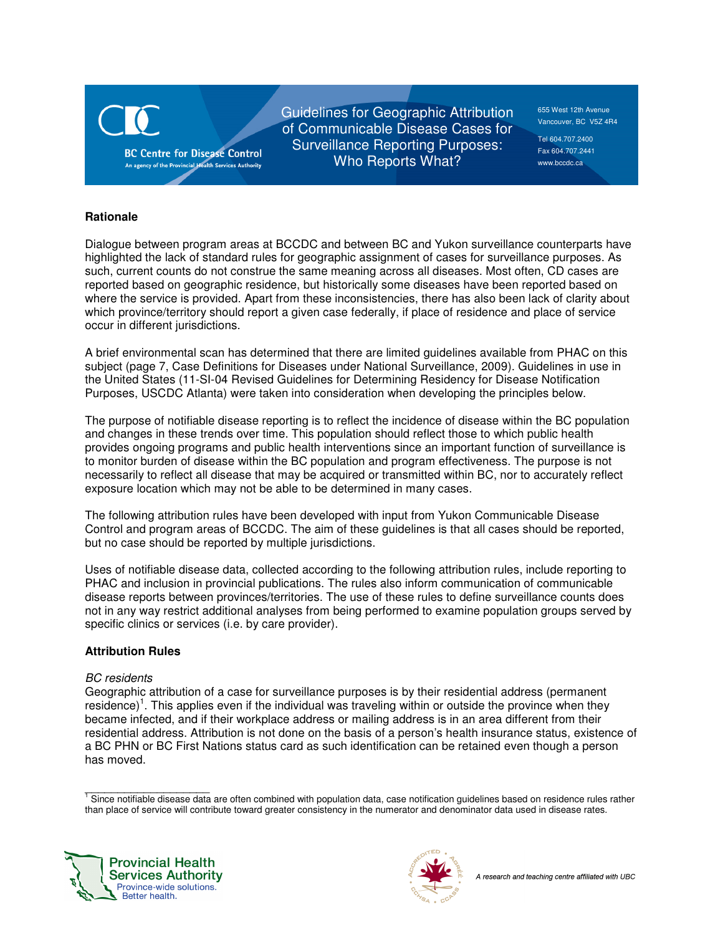

Guidelines for Geographic Attribution of Communicable Disease Cases for Surveillance Reporting Purposes: Who Reports What?

655 West 12th Avenue Vancouver, BC V5Z 4R4

Tel 604.707.2400 Fax 604.707.2441 www.bccdc.ca

## **Rationale**

Dialogue between program areas at BCCDC and between BC and Yukon surveillance counterparts have highlighted the lack of standard rules for geographic assignment of cases for surveillance purposes. As such, current counts do not construe the same meaning across all diseases. Most often, CD cases are reported based on geographic residence, but historically some diseases have been reported based on where the service is provided. Apart from these inconsistencies, there has also been lack of clarity about which province/territory should report a given case federally, if place of residence and place of service occur in different jurisdictions.

A brief environmental scan has determined that there are limited guidelines available from PHAC on this subject (page 7, Case Definitions for Diseases under National Surveillance, 2009). Guidelines in use in the United States (11-SI-04 Revised Guidelines for Determining Residency for Disease Notification Purposes, USCDC Atlanta) were taken into consideration when developing the principles below.

The purpose of notifiable disease reporting is to reflect the incidence of disease within the BC population and changes in these trends over time. This population should reflect those to which public health provides ongoing programs and public health interventions since an important function of surveillance is to monitor burden of disease within the BC population and program effectiveness. The purpose is not necessarily to reflect all disease that may be acquired or transmitted within BC, nor to accurately reflect exposure location which may not be able to be determined in many cases.

The following attribution rules have been developed with input from Yukon Communicable Disease Control and program areas of BCCDC. The aim of these guidelines is that all cases should be reported, but no case should be reported by multiple jurisdictions.

Uses of notifiable disease data, collected according to the following attribution rules, include reporting to PHAC and inclusion in provincial publications. The rules also inform communication of communicable disease reports between provinces/territories. The use of these rules to define surveillance counts does not in any way restrict additional analyses from being performed to examine population groups served by specific clinics or services (i.e. by care provider).

# **Attribution Rules**

## BC residents

Geographic attribution of a case for surveillance purposes is by their residential address (permanent residence)<sup>1</sup>. This applies even if the individual was traveling within or outside the province when they became infected, and if their workplace address or mailing address is in an area different from their residential address. Attribution is not done on the basis of a person's health insurance status, existence of a BC PHN or BC First Nations status card as such identification can be retained even though a person has moved.

\_\_\_\_\_\_\_\_\_\_\_\_\_\_\_\_\_\_\_ 1 Since notifiable disease data are often combined with population data, case notification guidelines based on residence rules rather than place of service will contribute toward greater consistency in the numerator and denominator data used in disease rates.



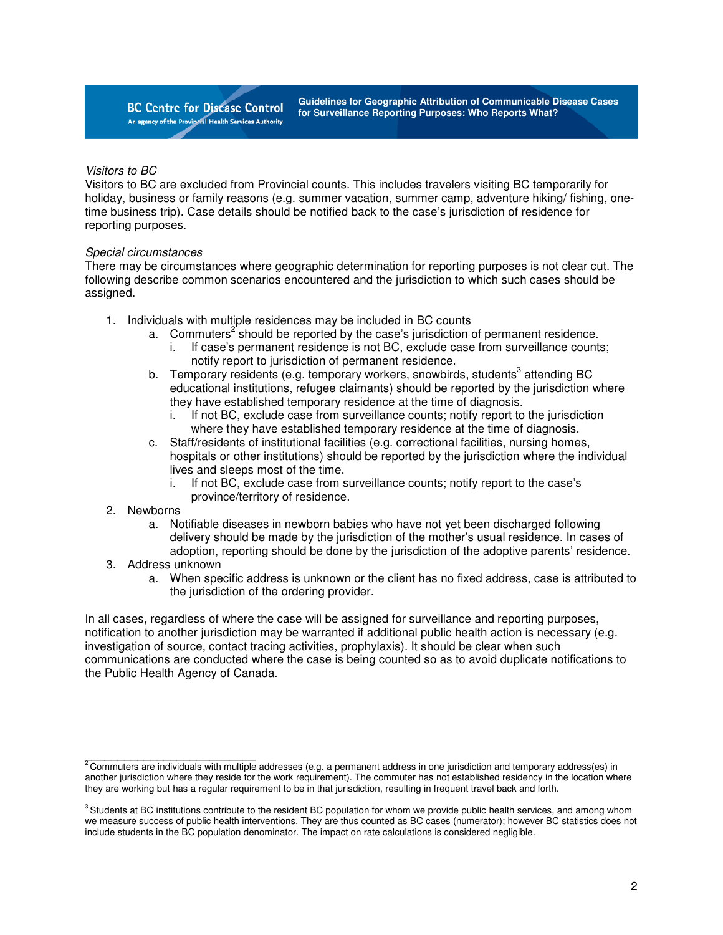**BC Centre for Disease Control** An agency of the Provincial Health Services Authority **Guidelines for Geographic Attribution of Communicable Disease Cases for Surveillance Reporting Purposes: Who Reports What?** 

### Visitors to BC

Visitors to BC are excluded from Provincial counts. This includes travelers visiting BC temporarily for holiday, business or family reasons (e.g. summer vacation, summer camp, adventure hiking/ fishing, onetime business trip). Case details should be notified back to the case's jurisdiction of residence for reporting purposes.

### Special circumstances

There may be circumstances where geographic determination for reporting purposes is not clear cut. The following describe common scenarios encountered and the jurisdiction to which such cases should be assigned.

- 1. Individuals with multiple residences may be included in BC counts
	- a. Commuters<sup>2</sup> should be reported by the case's jurisdiction of permanent residence.
		- i. If case's permanent residence is not BC, exclude case from surveillance counts; notify report to jurisdiction of permanent residence.
	- b. Temporary residents (e.g. temporary workers, snowbirds, students<sup>3</sup> attending BC educational institutions, refugee claimants) should be reported by the jurisdiction where they have established temporary residence at the time of diagnosis.
		- i. If not BC, exclude case from surveillance counts; notify report to the jurisdiction where they have established temporary residence at the time of diagnosis.
	- c. Staff/residents of institutional facilities (e.g. correctional facilities, nursing homes, hospitals or other institutions) should be reported by the jurisdiction where the individual lives and sleeps most of the time.
		- i. If not BC, exclude case from surveillance counts; notify report to the case's province/territory of residence.
- 2. Newborns
	- a. Notifiable diseases in newborn babies who have not yet been discharged following delivery should be made by the jurisdiction of the mother's usual residence. In cases of adoption, reporting should be done by the jurisdiction of the adoptive parents' residence.
- 3. Address unknown

 $\frac{1}{2}$  ,  $\frac{1}{2}$  ,  $\frac{1}{2}$  ,  $\frac{1}{2}$  ,  $\frac{1}{2}$  ,  $\frac{1}{2}$  ,  $\frac{1}{2}$  ,  $\frac{1}{2}$  ,  $\frac{1}{2}$  ,  $\frac{1}{2}$  ,  $\frac{1}{2}$  ,  $\frac{1}{2}$  ,  $\frac{1}{2}$  ,  $\frac{1}{2}$  ,  $\frac{1}{2}$  ,  $\frac{1}{2}$  ,  $\frac{1}{2}$  ,  $\frac{1}{2}$  ,  $\frac{1$ 

a. When specific address is unknown or the client has no fixed address, case is attributed to the jurisdiction of the ordering provider.

In all cases, regardless of where the case will be assigned for surveillance and reporting purposes, notification to another jurisdiction may be warranted if additional public health action is necessary (e.g. investigation of source, contact tracing activities, prophylaxis). It should be clear when such communications are conducted where the case is being counted so as to avoid duplicate notifications to the Public Health Agency of Canada.

 $^2$ Commuters are individuals with multiple addresses (e.g. a permanent address in one jurisdiction and temporary address(es) in another jurisdiction where they reside for the work requirement). The commuter has not established residency in the location where they are working but has a regular requirement to be in that jurisdiction, resulting in frequent travel back and forth.

<sup>&</sup>lt;sup>3</sup> Students at BC institutions contribute to the resident BC population for whom we provide public health services, and among whom we measure success of public health interventions. They are thus counted as BC cases (numerator); however BC statistics does not include students in the BC population denominator. The impact on rate calculations is considered negligible.